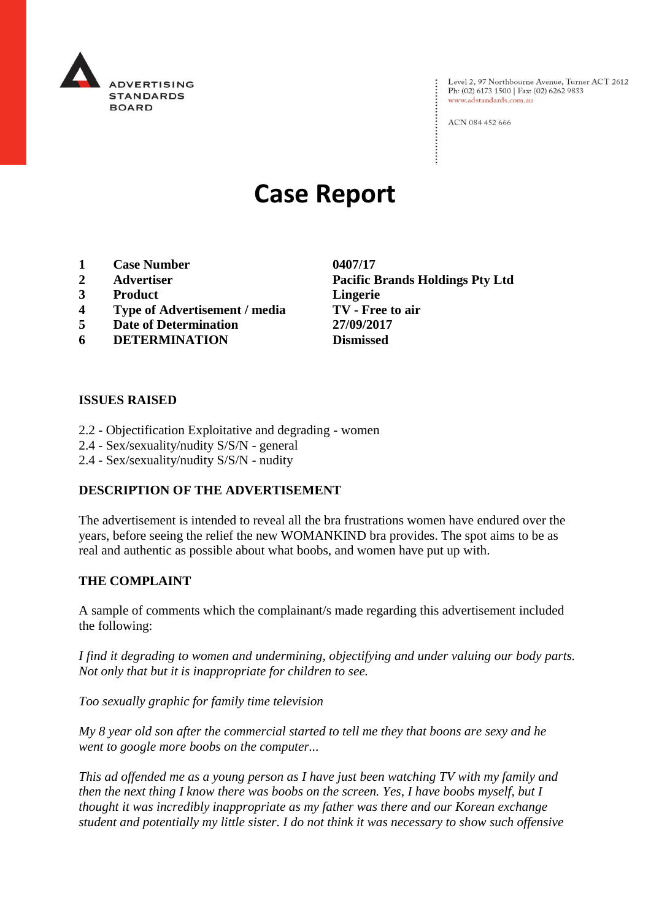

Level 2, 97 Northbourne Avenue, Turner ACT 2612 Ph: (02) 6173 1500 | Fax: (02) 6262 9833 www.adstandards.com.au

ACN 084 452 666

# **Case Report**

- **1 Case Number 0407/17**
- 
- **3 Product Lingerie**
- **4 Type of Advertisement / media TV - Free to air**
- **5 Date of Determination 27/09/2017**
- **6 DETERMINATION Dismissed**

**ISSUES RAISED**

- 2.2 Objectification Exploitative and degrading women
- 2.4 Sex/sexuality/nudity S/S/N general
- 2.4 Sex/sexuality/nudity S/S/N nudity

### **DESCRIPTION OF THE ADVERTISEMENT**

The advertisement is intended to reveal all the bra frustrations women have endured over the years, before seeing the relief the new WOMANKIND bra provides. The spot aims to be as real and authentic as possible about what boobs, and women have put up with.

### **THE COMPLAINT**

A sample of comments which the complainant/s made regarding this advertisement included the following:

*I find it degrading to women and undermining, objectifying and under valuing our body parts. Not only that but it is inappropriate for children to see.*

*Too sexually graphic for family time television*

*My 8 year old son after the commercial started to tell me they that boons are sexy and he went to google more boobs on the computer...*

*This ad offended me as a young person as I have just been watching TV with my family and then the next thing I know there was boobs on the screen. Yes, I have boobs myself, but I thought it was incredibly inappropriate as my father was there and our Korean exchange student and potentially my little sister. I do not think it was necessary to show such offensive* 

**2 Advertiser Pacific Brands Holdings Pty Ltd**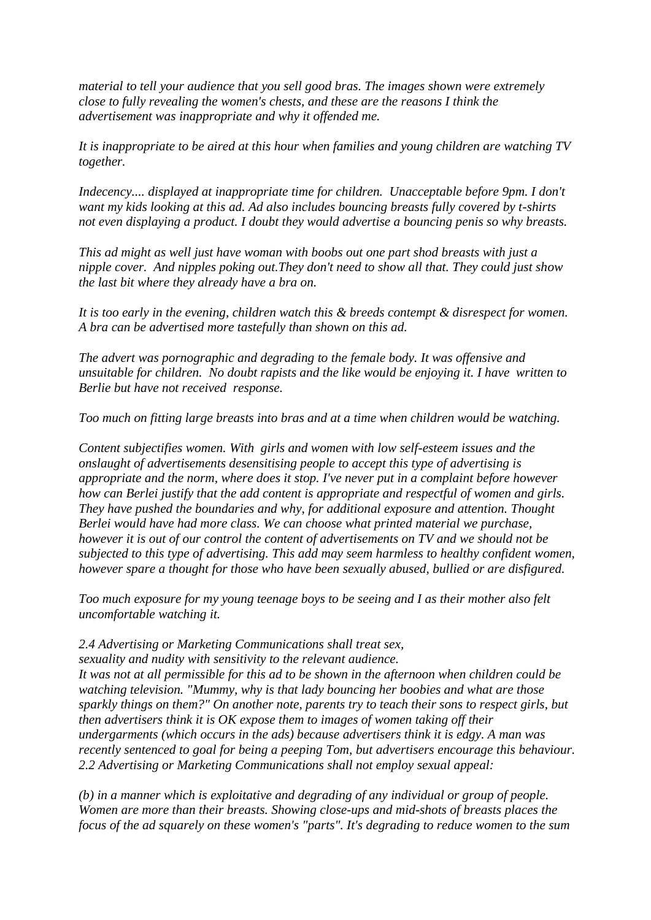*material to tell your audience that you sell good bras. The images shown were extremely close to fully revealing the women's chests, and these are the reasons I think the advertisement was inappropriate and why it offended me.*

*It is inappropriate to be aired at this hour when families and young children are watching TV together.*

*Indecency.... displayed at inappropriate time for children. Unacceptable before 9pm. I don't want my kids looking at this ad. Ad also includes bouncing breasts fully covered by t-shirts not even displaying a product. I doubt they would advertise a bouncing penis so why breasts.*

*This ad might as well just have woman with boobs out one part shod breasts with just a nipple cover. And nipples poking out.They don't need to show all that. They could just show the last bit where they already have a bra on.*

*It is too early in the evening, children watch this & breeds contempt & disrespect for women. A bra can be advertised more tastefully than shown on this ad.*

*The advert was pornographic and degrading to the female body. It was offensive and unsuitable for children. No doubt rapists and the like would be enjoying it. I have written to Berlie but have not received response.*

*Too much on fitting large breasts into bras and at a time when children would be watching.*

*Content subjectifies women. With girls and women with low self-esteem issues and the onslaught of advertisements desensitising people to accept this type of advertising is appropriate and the norm, where does it stop. I've never put in a complaint before however how can Berlei justify that the add content is appropriate and respectful of women and girls. They have pushed the boundaries and why, for additional exposure and attention. Thought Berlei would have had more class. We can choose what printed material we purchase, however it is out of our control the content of advertisements on TV and we should not be subjected to this type of advertising. This add may seem harmless to healthy confident women, however spare a thought for those who have been sexually abused, bullied or are disfigured.*

*Too much exposure for my young teenage boys to be seeing and I as their mother also felt uncomfortable watching it.*

*2.4 Advertising or Marketing Communications shall treat sex,*

*sexuality and nudity with sensitivity to the relevant audience. It was not at all permissible for this ad to be shown in the afternoon when children could be watching television. "Mummy, why is that lady bouncing her boobies and what are those sparkly things on them?" On another note, parents try to teach their sons to respect girls, but then advertisers think it is OK expose them to images of women taking off their undergarments (which occurs in the ads) because advertisers think it is edgy. A man was recently sentenced to goal for being a peeping Tom, but advertisers encourage this behaviour. 2.2 Advertising or Marketing Communications shall not employ sexual appeal:*

*(b) in a manner which is exploitative and degrading of any individual or group of people. Women are more than their breasts. Showing close-ups and mid-shots of breasts places the focus of the ad squarely on these women's "parts". It's degrading to reduce women to the sum*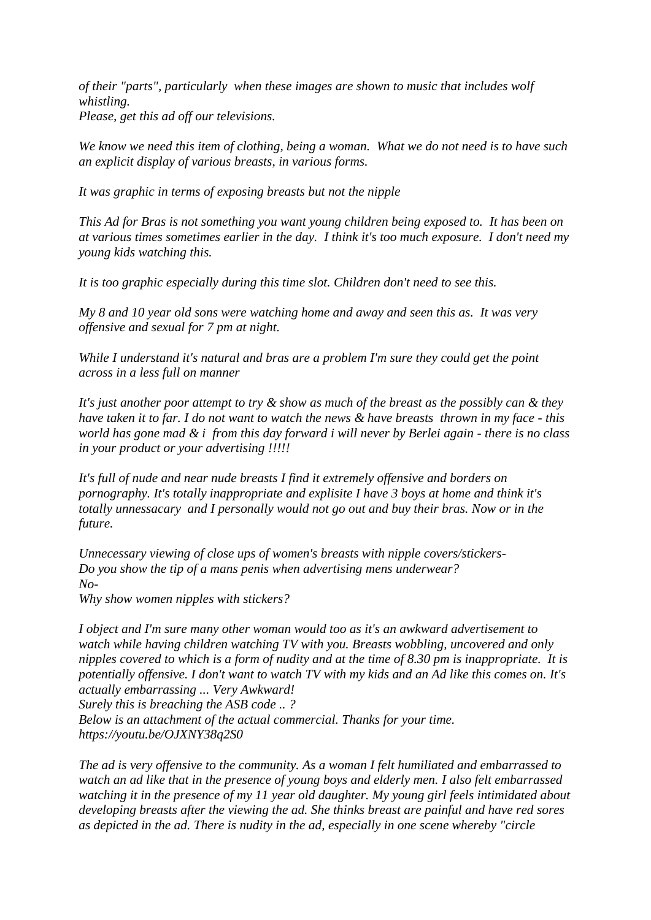*of their "parts", particularly when these images are shown to music that includes wolf whistling. Please, get this ad off our televisions.*

*We know we need this item of clothing, being a woman. What we do not need is to have such an explicit display of various breasts, in various forms.*

*It was graphic in terms of exposing breasts but not the nipple*

*This Ad for Bras is not something you want young children being exposed to. It has been on at various times sometimes earlier in the day. I think it's too much exposure. I don't need my young kids watching this.*

*It is too graphic especially during this time slot. Children don't need to see this.*

*My 8 and 10 year old sons were watching home and away and seen this as. It was very offensive and sexual for 7 pm at night.*

*While I understand it's natural and bras are a problem I'm sure they could get the point across in a less full on manner*

*It's just another poor attempt to try & show as much of the breast as the possibly can & they have taken it to far. I do not want to watch the news & have breasts thrown in my face - this world has gone mad & i from this day forward i will never by Berlei again - there is no class in your product or your advertising !!!!!*

*It's full of nude and near nude breasts I find it extremely offensive and borders on pornography. It's totally inappropriate and explisite I have 3 boys at home and think it's totally unnessacary and I personally would not go out and buy their bras. Now or in the future.*

*Unnecessary viewing of close ups of women's breasts with nipple covers/stickers-Do you show the tip of a mans penis when advertising mens underwear? No-*

*Why show women nipples with stickers?*

*I object and I'm sure many other woman would too as it's an awkward advertisement to watch while having children watching TV with you. Breasts wobbling, uncovered and only nipples covered to which is a form of nudity and at the time of 8.30 pm is inappropriate. It is potentially offensive. I don't want to watch TV with my kids and an Ad like this comes on. It's actually embarrassing ... Very Awkward!*

*Surely this is breaching the ASB code .. ?*

*Below is an attachment of the actual commercial. Thanks for your time. https://youtu.be/OJXNY38q2S0*

*The ad is very offensive to the community. As a woman I felt humiliated and embarrassed to watch an ad like that in the presence of young boys and elderly men. I also felt embarrassed watching it in the presence of my 11 year old daughter. My young girl feels intimidated about developing breasts after the viewing the ad. She thinks breast are painful and have red sores as depicted in the ad. There is nudity in the ad, especially in one scene whereby "circle*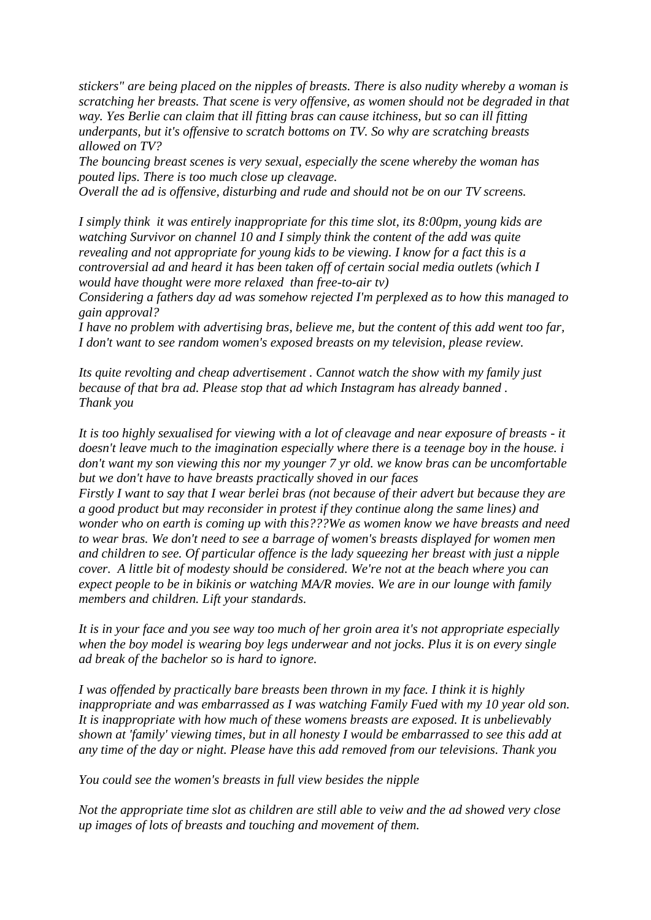*stickers" are being placed on the nipples of breasts. There is also nudity whereby a woman is scratching her breasts. That scene is very offensive, as women should not be degraded in that way. Yes Berlie can claim that ill fitting bras can cause itchiness, but so can ill fitting underpants, but it's offensive to scratch bottoms on TV. So why are scratching breasts allowed on TV?*

*The bouncing breast scenes is very sexual, especially the scene whereby the woman has pouted lips. There is too much close up cleavage.*

*Overall the ad is offensive, disturbing and rude and should not be on our TV screens.*

*I simply think it was entirely inappropriate for this time slot, its 8:00pm, young kids are watching Survivor on channel 10 and I simply think the content of the add was quite revealing and not appropriate for young kids to be viewing. I know for a fact this is a controversial ad and heard it has been taken off of certain social media outlets (which I would have thought were more relaxed than free-to-air tv)*

*Considering a fathers day ad was somehow rejected I'm perplexed as to how this managed to gain approval?*

*I have no problem with advertising bras, believe me, but the content of this add went too far, I don't want to see random women's exposed breasts on my television, please review.*

*Its quite revolting and cheap advertisement . Cannot watch the show with my family just because of that bra ad. Please stop that ad which Instagram has already banned . Thank you*

*It is too highly sexualised for viewing with a lot of cleavage and near exposure of breasts - it doesn't leave much to the imagination especially where there is a teenage boy in the house. i don't want my son viewing this nor my younger 7 yr old. we know bras can be uncomfortable but we don't have to have breasts practically shoved in our faces*

*Firstly I want to say that I wear berlei bras (not because of their advert but because they are a good product but may reconsider in protest if they continue along the same lines) and wonder who on earth is coming up with this???We as women know we have breasts and need to wear bras. We don't need to see a barrage of women's breasts displayed for women men and children to see. Of particular offence is the lady squeezing her breast with just a nipple cover. A little bit of modesty should be considered. We're not at the beach where you can expect people to be in bikinis or watching MA/R movies. We are in our lounge with family members and children. Lift your standards.*

*It is in your face and you see way too much of her groin area it's not appropriate especially when the boy model is wearing boy legs underwear and not jocks. Plus it is on every single ad break of the bachelor so is hard to ignore.*

*I was offended by practically bare breasts been thrown in my face. I think it is highly inappropriate and was embarrassed as I was watching Family Fued with my 10 year old son. It is inappropriate with how much of these womens breasts are exposed. It is unbelievably shown at 'family' viewing times, but in all honesty I would be embarrassed to see this add at any time of the day or night. Please have this add removed from our televisions. Thank you*

*You could see the women's breasts in full view besides the nipple*

*Not the appropriate time slot as children are still able to veiw and the ad showed very close up images of lots of breasts and touching and movement of them.*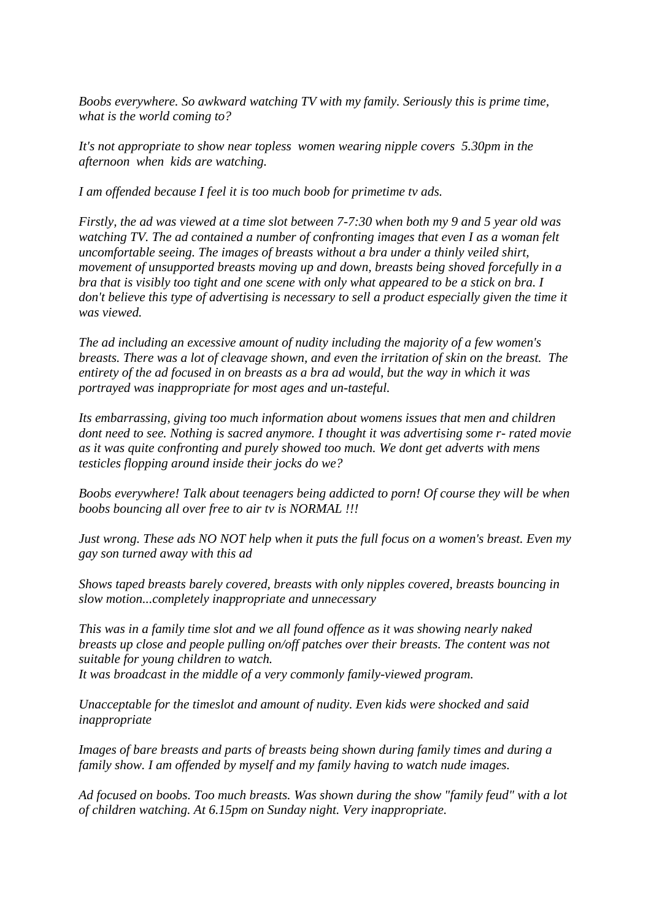*Boobs everywhere. So awkward watching TV with my family. Seriously this is prime time, what is the world coming to?*

*It's not appropriate to show near topless women wearing nipple covers 5.30pm in the afternoon when kids are watching.*

*I am offended because I feel it is too much boob for primetime tv ads.*

*Firstly, the ad was viewed at a time slot between 7-7:30 when both my 9 and 5 year old was watching TV. The ad contained a number of confronting images that even I as a woman felt uncomfortable seeing. The images of breasts without a bra under a thinly veiled shirt, movement of unsupported breasts moving up and down, breasts being shoved forcefully in a bra that is visibly too tight and one scene with only what appeared to be a stick on bra. I don't believe this type of advertising is necessary to sell a product especially given the time it was viewed.* 

*The ad including an excessive amount of nudity including the majority of a few women's breasts. There was a lot of cleavage shown, and even the irritation of skin on the breast. The entirety of the ad focused in on breasts as a bra ad would, but the way in which it was portrayed was inappropriate for most ages and un-tasteful.*

*Its embarrassing, giving too much information about womens issues that men and children dont need to see. Nothing is sacred anymore. I thought it was advertising some r- rated movie as it was quite confronting and purely showed too much. We dont get adverts with mens testicles flopping around inside their jocks do we?*

*Boobs everywhere! Talk about teenagers being addicted to porn! Of course they will be when boobs bouncing all over free to air tv is NORMAL !!!*

*Just wrong. These ads NO NOT help when it puts the full focus on a women's breast. Even my gay son turned away with this ad* 

*Shows taped breasts barely covered, breasts with only nipples covered, breasts bouncing in slow motion...completely inappropriate and unnecessary*

*This was in a family time slot and we all found offence as it was showing nearly naked breasts up close and people pulling on/off patches over their breasts. The content was not suitable for young children to watch. It was broadcast in the middle of a very commonly family-viewed program.*

*Unacceptable for the timeslot and amount of nudity. Even kids were shocked and said inappropriate*

*Images of bare breasts and parts of breasts being shown during family times and during a family show. I am offended by myself and my family having to watch nude images.*

*Ad focused on boobs. Too much breasts. Was shown during the show "family feud" with a lot of children watching. At 6.15pm on Sunday night. Very inappropriate.*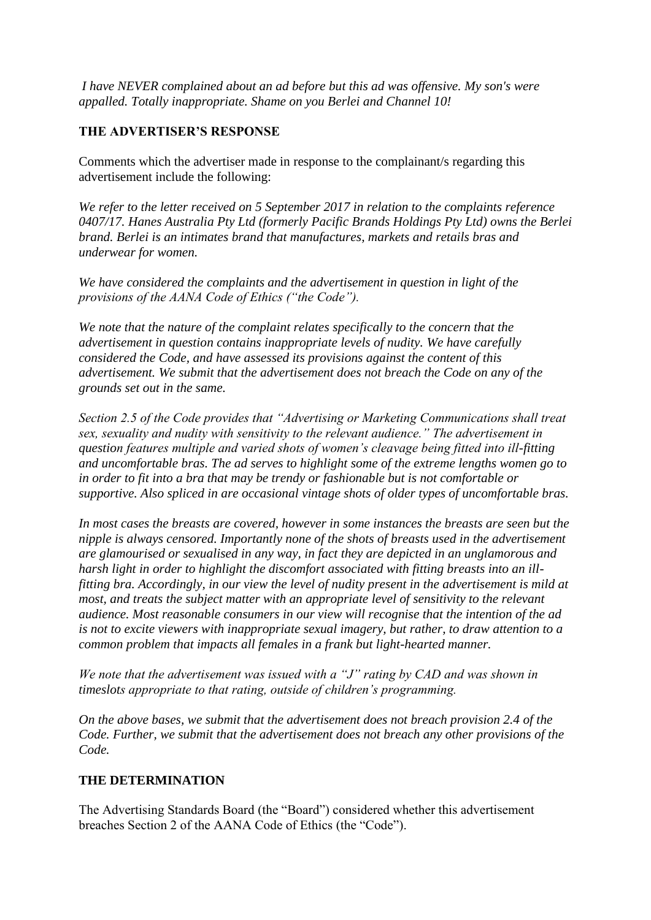*I have NEVER complained about an ad before but this ad was offensive. My son's were appalled. Totally inappropriate. Shame on you Berlei and Channel 10!*

# **THE ADVERTISER'S RESPONSE**

Comments which the advertiser made in response to the complainant/s regarding this advertisement include the following:

*We refer to the letter received on 5 September 2017 in relation to the complaints reference 0407/17. Hanes Australia Pty Ltd (formerly Pacific Brands Holdings Pty Ltd) owns the Berlei brand. Berlei is an intimates brand that manufactures, markets and retails bras and underwear for women.*

*We have considered the complaints and the advertisement in question in light of the provisions of the AANA Code of Ethics ("the Code").*

*We note that the nature of the complaint relates specifically to the concern that the advertisement in question contains inappropriate levels of nudity. We have carefully considered the Code, and have assessed its provisions against the content of this advertisement. We submit that the advertisement does not breach the Code on any of the grounds set out in the same.*

*Section 2.5 of the Code provides that "Advertising or Marketing Communications shall treat sex, sexuality and nudity with sensitivity to the relevant audience." The advertisement in question features multiple and varied shots of women's cleavage being fitted into ill-fitting and uncomfortable bras. The ad serves to highlight some of the extreme lengths women go to in order to fit into a bra that may be trendy or fashionable but is not comfortable or supportive. Also spliced in are occasional vintage shots of older types of uncomfortable bras.*

*In most cases the breasts are covered, however in some instances the breasts are seen but the nipple is always censored. Importantly none of the shots of breasts used in the advertisement are glamourised or sexualised in any way, in fact they are depicted in an unglamorous and harsh light in order to highlight the discomfort associated with fitting breasts into an illfitting bra. Accordingly, in our view the level of nudity present in the advertisement is mild at most, and treats the subject matter with an appropriate level of sensitivity to the relevant audience. Most reasonable consumers in our view will recognise that the intention of the ad is not to excite viewers with inappropriate sexual imagery, but rather, to draw attention to a common problem that impacts all females in a frank but light-hearted manner.*

*We note that the advertisement was issued with a "J" rating by CAD and was shown in timeslots appropriate to that rating, outside of children's programming.*

*On the above bases, we submit that the advertisement does not breach provision 2.4 of the Code. Further, we submit that the advertisement does not breach any other provisions of the Code.*

# **THE DETERMINATION**

The Advertising Standards Board (the "Board") considered whether this advertisement breaches Section 2 of the AANA Code of Ethics (the "Code").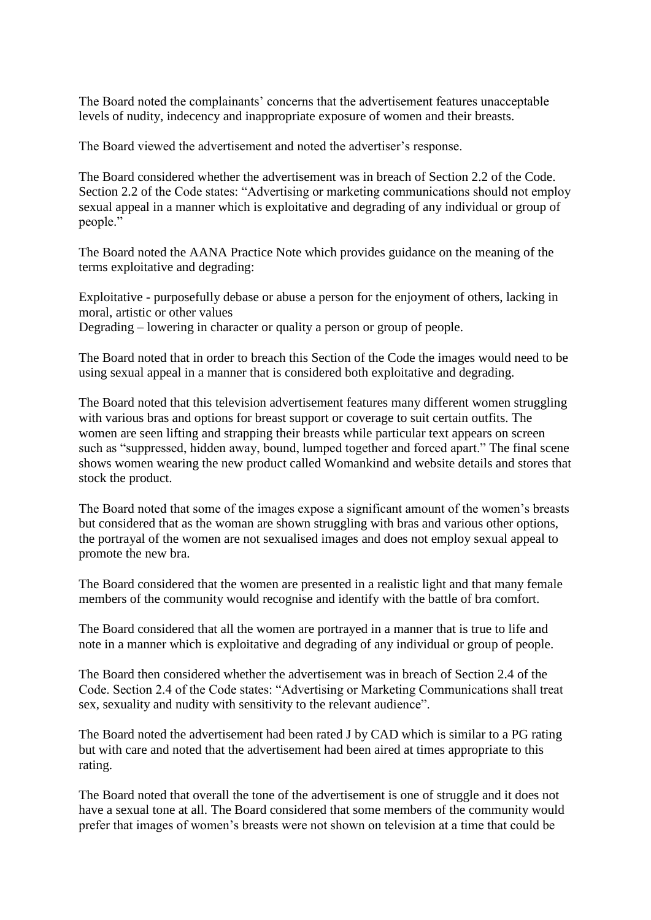The Board noted the complainants' concerns that the advertisement features unacceptable levels of nudity, indecency and inappropriate exposure of women and their breasts.

The Board viewed the advertisement and noted the advertiser's response.

The Board considered whether the advertisement was in breach of Section 2.2 of the Code. Section 2.2 of the Code states: "Advertising or marketing communications should not employ sexual appeal in a manner which is exploitative and degrading of any individual or group of people."

The Board noted the AANA Practice Note which provides guidance on the meaning of the terms exploitative and degrading:

Exploitative - purposefully debase or abuse a person for the enjoyment of others, lacking in moral, artistic or other values Degrading – lowering in character or quality a person or group of people.

The Board noted that in order to breach this Section of the Code the images would need to be using sexual appeal in a manner that is considered both exploitative and degrading.

The Board noted that this television advertisement features many different women struggling with various bras and options for breast support or coverage to suit certain outfits. The women are seen lifting and strapping their breasts while particular text appears on screen such as "suppressed, hidden away, bound, lumped together and forced apart." The final scene shows women wearing the new product called Womankind and website details and stores that stock the product.

The Board noted that some of the images expose a significant amount of the women's breasts but considered that as the woman are shown struggling with bras and various other options, the portrayal of the women are not sexualised images and does not employ sexual appeal to promote the new bra.

The Board considered that the women are presented in a realistic light and that many female members of the community would recognise and identify with the battle of bra comfort.

The Board considered that all the women are portrayed in a manner that is true to life and note in a manner which is exploitative and degrading of any individual or group of people.

The Board then considered whether the advertisement was in breach of Section 2.4 of the Code. Section 2.4 of the Code states: "Advertising or Marketing Communications shall treat sex, sexuality and nudity with sensitivity to the relevant audience".

The Board noted the advertisement had been rated J by CAD which is similar to a PG rating but with care and noted that the advertisement had been aired at times appropriate to this rating.

The Board noted that overall the tone of the advertisement is one of struggle and it does not have a sexual tone at all. The Board considered that some members of the community would prefer that images of women's breasts were not shown on television at a time that could be